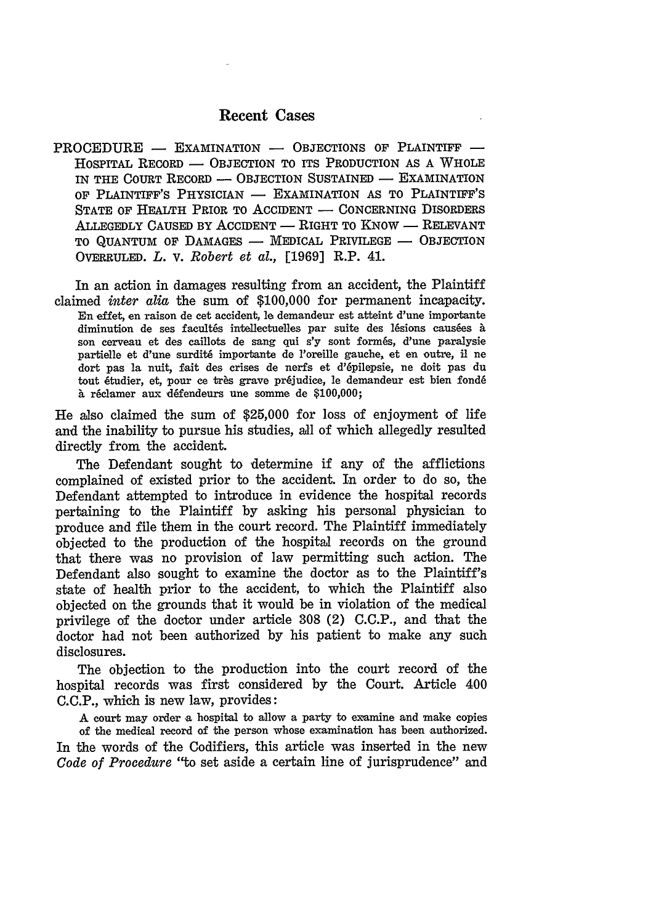## Recent Cases

PROCEDURE - EXAMINATION - OBJECTIONS OF PLAINTIFF -HOSPITAL RECORD - OBJECTION TO ITS PRODUCTION AS A WHOLE IN THE COURT RECORD - OBJECTION SUSTAINED - EXAMINATION OF PLAINTIFF'S PHYSICIAN - EXAMINATION AS TO PLAINTIFF'S STATE OF HEALTH PRIOR TO ACCIDENT - CONCERNING DISORDERS ALLEGEDLY CAUSED BY ACCIDENT - RIGHT TO KNOW - RELEVANT TO QUANTUM OF DAMAGES - MEDICAL PRIVILEGE - OBJECTION OVERRULED. *L.* V. *Robert et al.,* [1969] R.P. 41.

In an action in damages resulting from an accident, the Plaintiff claimed *inter alia* the sum of \$100,000 for permanent incapacity. En effet, en raison de cet accident, le demandeur est atteint d'une importante diminution de ses facultés intellectuelles par suite des lésions causées à son cerveau et des caillots de sang qui s'y sont formés, d'une paralysie partielle et d'une surdit6 importante de l'oreille gauche, et en outre, i ne dart pas la nuit, fait des crises de nerfs et d'6pilepsie, ne doit pas du tout étudier, et, pour ce très grave préjudice, le demandeur est bien fondé à réclamer aux défendeurs une somme de \$100,000;

He also claimed the sum of **\$25,000** for loss of enjoyment of life and the inability to pursue his studies, all of which allegedly resulted directly from the accident.

The Defendant sought to determine if any of the afflictions complained of existed prior to the accident. In order to do so, the Defendant attempted to introduce in evidence the hospital records pertaining to the Plaintiff by asking his personal physician to produce and file them in the court record. The Plaintiff immediately objected to the production of the hospital records on the ground that there was no provision of law permitting such action. The Defendant also sought to examine the doctor as to the Plaintiff's state of health prior to the accident, to which the Plaintiff also objected on the grounds that it would be in violation of the medical privilege of the doctor under article 308 (2) C.C.P., and that the doctor had not been authorized by his patient to make any such disclosures.

The objection to the production into the court record of the hospital records was first considered by the Court. Article 400 C.C.P., which is new law, provides:

A court may order a hospital to allow a party to examine and make copies of the medical record of the person whose examination has been authorized. In the words of the Codifiers, this article was inserted in the new *Code of Procedure* "to set aside a certain line of jurisprudence" and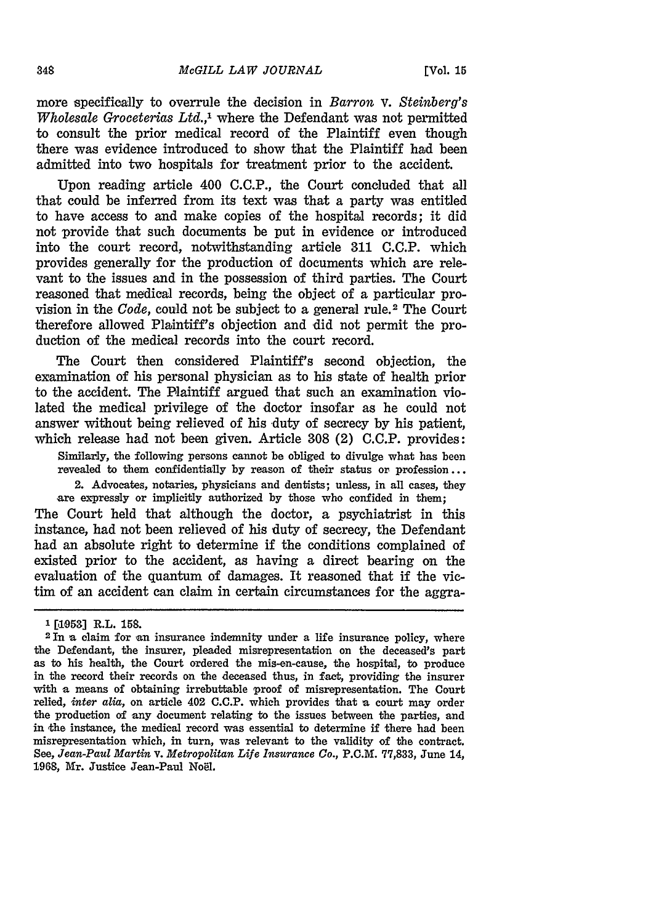more specifically to overrule the decision in *Barron v. Steinberg's Wholesale Groceterias Ltd.,1* where the Defendant was not permitted to consult the prior medical record of the Plaintiff even though there was evidence introduced to show that the Plaintiff had been admitted into two hospitals for treatment prior to the accident.

Upon reading article 400 **C.C.P.,** the Court concluded that all that could be inferred from its text was that a party was entitled to have access to and make copies of the hospital records; it did not provide that such documents be put in evidence or introduced into the court record, notwithstanding article 311 C.C.P. which provides generally for the production of documents which are relevant to the issues and in the possession of third parties. The Court reasoned that medical records, being the object of a particular provision in the *Code*, could not be subject to a general rule.<sup>2</sup> The Court therefore allowed Plaintiff's objection and did not permit the production of the medical records into the court record.

The Court then considered Plaintiff's second objection, the examination of his personal physician as to his state of health prior to the accident. The Plaintiff argued that such an examination violated the medical privilege of the doctor insofar as he could not answer without being relieved of his duty of secrecy by his patient, which release had not been given. Article 308 (2) C.C.P. provides:

Similarly, the following persons cannot be obliged to divulge what has been revealed to them confidentially **by** reason of their status or profession... 2. Advocates, notaries, physicians and dentists; unless, in all cases, they

are expressly or implicitly authorized **by** those who confided in them; The Court held that although the doctor, a psychiatrist in this instance, had not been relieved of his duty of secrecy, the Defendant had an absolute right to determine if the conditions complained of existed prior to the accident, as having a direct bearing on the evaluation of the quantum of damages. It reasoned that if the victim of an accident can claim in certain circumstances for the aggra-

**<sup>&#</sup>x27;[1053] R.L. 158.**

<sup>&</sup>lt;sup>2</sup> In a claim for an insurance indemnity under a life insurance policy, where the Defendant, the insurer, pleaded misrepresentation on the deceased's part as to his health, the Court ordered the mis-en-cause, the hospital, to produce in the record their records on the deceased thus, in fact, providing the insurer with a means of obtaining irrebuttable proof of misrepresentation. The Court relied, *inter alia,* on article 402 **C.C.P.** which provides that a court may order the production of any document relating to the issues between the parties, and in the instance, the medical record was essential to determine if there had been misrepresentation which, in turn, was relevant to the validity of the contract. See, *Jean-Paul Martin* v. *Metropolitan Life Insurance Co.,* P.C.M. **77,833,** June 14, 1968, Mr. Justice Jean-Paul Noel.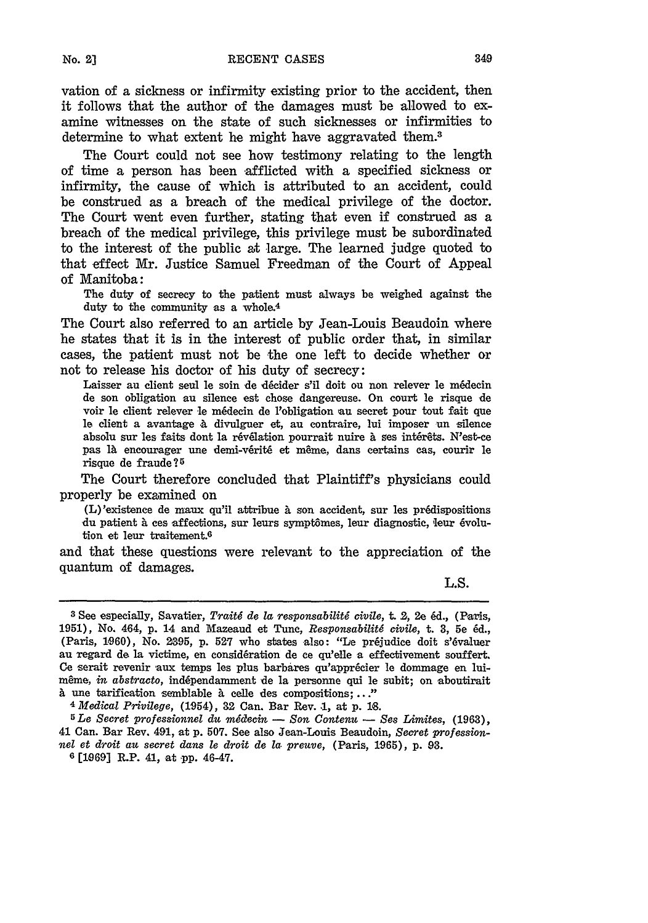vation of a sickness or infirmity existing prior to the accident, then it follows that the author of the damages must be allowed to examine witnesses on the state of such sicknesses or infirmities to determine to what extent he might have aggravated them.<sup>3</sup>

The Court could not see how testimony relating to the length of time a person has been afflicted with a specified sickness or infirmity, the cause of which is attributed to an accident, could be construed as a breach of the medical privilege of the doctor. The Court went even further, stating that even if construed as a breach of the medical privilege, this privilege must be subordinated to the interest of the public at large. The learned judge quoted to that effect Mr. Justice Samuel Freedman of the Court of Appeal of Manitoba:

The duty of secrecy to the patient must always be weighed against the duty to the community as a whole.<sup>4</sup>

The Court also referred to an article **by** Jean-Louis Beaudoin where he states that it is in the interest of public order that, in similar cases, the patient must not be the one left to decide whether or not to release his doctor of his duty of secrecy:

Laisser au client seul le soin de décider s'il doit ou non relever le médecin de son obligation au silence est chose dangereuse. On court le risque de voir le client relever le m6decin de l'obligation **au** secret pour tout fait que le client a avantage **.** divulguer et, **au** contraire, lui imposer un silence absolu sur les faits dont la révélation pourrait nuire à ses intérêts. N'est-ce pas là encourager une demi-vérité et même, dans certains cas, courir le risque de fraude?<sup>5</sup>

The Court therefore concluded that Plaintiff's physicians could properly be examined on

(L)'existence de maux qu'il attribue **A** son accident, sur les prddispositions du patient à ces affections, sur leurs symptômes, leur diagnostic, leur évolution et leur traitement.6

and that these questions were relevant to the appreciation of the quantum of damages.

L.S.

**5** *Le Secret professionnel du m decin* **-** *Son Contenu* **-** *Ses Limites,* **(1963),** 41 Can. Bar Rev. 491, at p. **507.** See also Jean-Louis Beaudoin, *Secret professionnel et droit au secret dans le droit de la. preuve,* (Paris, 1965), p. **93.**

**6** [1q69] R.P. 41, at -pp. 46-47.

**<sup>3</sup> See** especially, Savatier, *Trait6 de la responsabilitg civile,* t. **2,** 2e **6d.,** (Paris, **1951),** No. 464, **p.** 14 and Mazeaud et Tunc, *Responsabilit6 civile,* t. **3, 5e 6d.,** (Paris, 1960), No. 2395, p. 527 who states also: "Le préjudice doit s'évaluer au regard de la victime, en considération de ce qu'elle a effectivement souffert. Ce serait revenir aux temps les plus barbares qu'apprécier le dommage en luimême, *in abstracto*, indépendamment de la personne qui le subit; on aboutirait **<sup>A</sup>**une tarification semblable a celle des compositions;..." *<sup>4</sup> Medical Privilege,* (1954), 32 Can. Bar Rev. **.1,** at **p. 16.**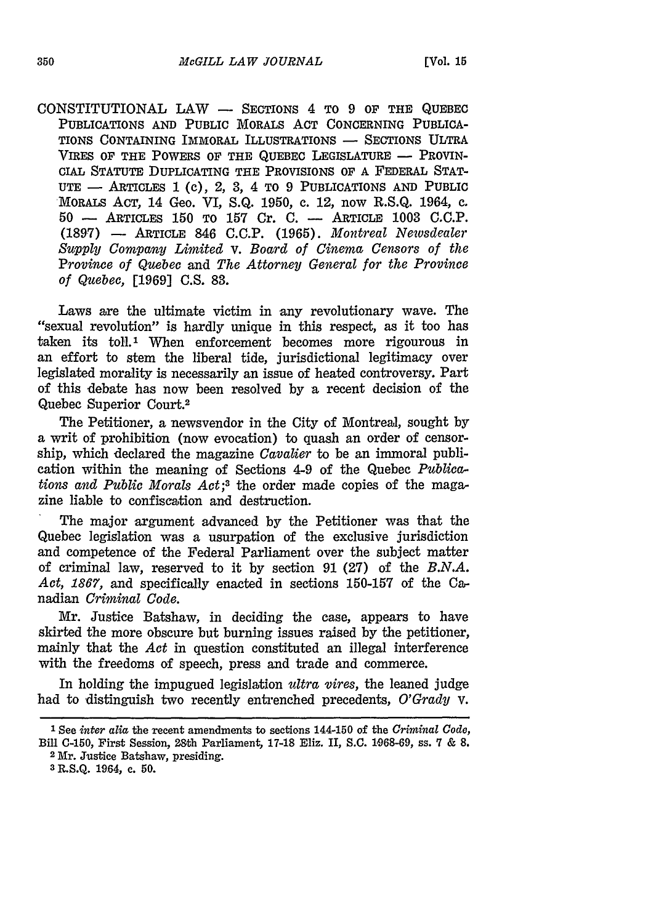$CONSTITUTIONAL$   $LAW$   $-$  Sections 4 to 9 of the QUEBEC PUBLICATIONS AND PUBLIC MORALS ACT CONCERNING PUBLICA-TIONS CONTAINING IMMORAL ILLUSTRATIONS **-** SECTIONS ULTRA VIRES OF THE POWERS OF THE QUEBEC LEGISLATURE - PROVIN-CIAL STATUTE DUPLICATING THE PROVISIONS OF A FEDERAL STAT-UTE **-** ARTICLES **I** (c), 2, **3,** *4* TO 9 PUBLICATIONS AND PUBLIC MORALS ACT, 14 Geo. VI, S.Q. 1950, c. 12, now R.S.Q. 1964, c. 50 - ARTICLES 150 TO **157** Cr. C. **-** ARTICLE 1003 G.O.P. (1897) - ARTICLE 846 C.C.P. (1965). *Montreal Newsdealer Supply Company Limited v. Board of Cinema Censors of the Province of Quebec* and *The Attorney General for the Province of Quebec,* [1969] C.S. 83.

Laws are the ultimate victim in any revolutionary wave. The "sexual revolution" is hardly unique in this respect, as it too has taken its toll.<sup>1</sup> When enforcement becomes more rigourous in an effort to stem the liberal tide, jurisdictional legitimacy over legislated morality is necessarily an issue of heated controversy. Part of this debate has now been resolved by a recent decision of the Quebec Superior Court.<sup>2</sup>

The Petitioner, a newsvendor in the City of Montreal, sought by a writ of prohibition (now evocation) to quash an order of censorship, which declared the magazine *Cavalier* to be an immoral publication within the meaning of Sections 4-9 of the Quebec *Publications and Public Morals Act;3* the order made copies of the magazine liable to confiscation and destruction.

The major argument advanced by the Petitioner was that the Quebec legislation was a usurpation of the exclusive jurisdiction and competence of the Federal Parliament over the subject matter of criminal law, reserved to it by section 91 (27) of the *B.N.A. Act, 1867,* and specifically enacted in sections 150-157 of the Canadian *Criminal Code.*

Mr. Justice Batshaw, in deciding the case, appears to have skirted the more obscure but burning issues raised by the petitioner, mainly that the *Act* in question constituted an illegal interference with the freedoms of speech, press and trade and commerce.

In holding the impugned legislation *ultra vires,* the leaned judge had to distinguish two recently entrenched precedents, *O'Grady v.*

**I** See *inter alia* the recent amendments to sections 144-150 of the *Criminal Code,* Bill C-150, First Session, 28th Parliament, 17-18 Eliz. II, S.C. 1968-69, ss. 7 & **8.** 2 Mr. Justice Batshaw, presiding.

**<sup>3</sup>**R.S.Q. 1964, c. 50.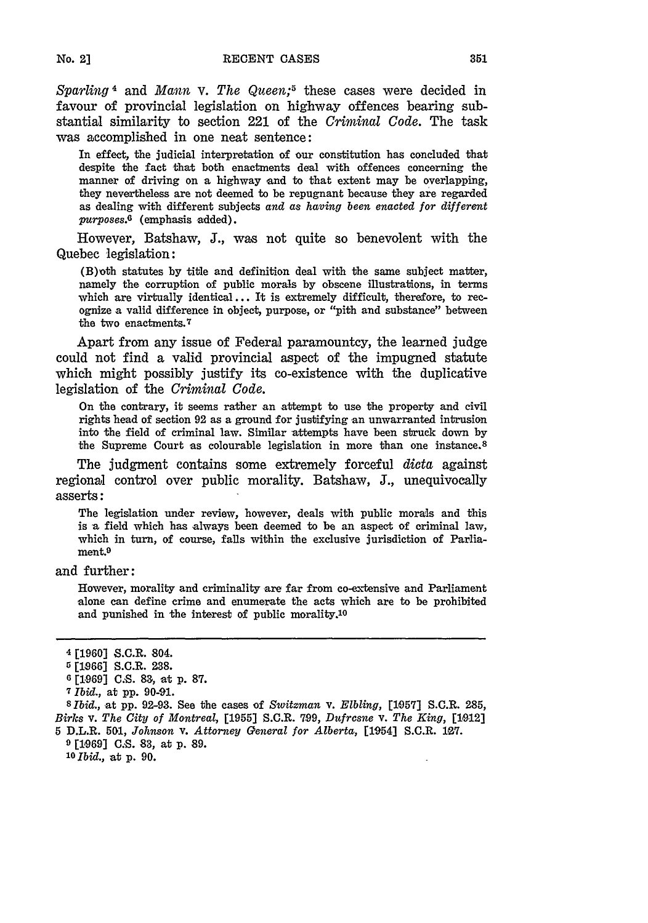*Sparling 4* and *Mann* v. *The Queen;<sup>5</sup>*these cases were decided in favour of provincial legislation on highway offences bearing substantial similarity to section 221 of the *Criminal Code.* The task was accomplished in one neat sentence:

In effect, the judicial interpretation of our constitution has concluded that despite the fact that both enactments deal with offences concerning the manner of driving on a highway and to that extent may be overlapping, they nevertheless are not deemed to be repugnant because they are regarded as dealing with different subjects *and as having been enacted for different purposes.6* (emphasis added).

However, Batshaw, J., was not quite so benevolent with the Quebec legislation:

(B)oth statutes by title and definition deal with the same subject matter, namely the corruption of public morals by obscene illustrations, in terms which are virtually identical ... It is extremely difficult, therefore, to recognize a valid difference in object, purpose, or "pith and substance" between the two enactments. <sup>7</sup>

Apart from any issue of Federal paramountcy, the learned judge could not find a valid provincial aspect of the impugned statute which might possibly justify its co-existence with the duplicative legislation of the *Criminal Code.*

On the contrary, it seems rather an attempt to use the property and civil rights head of section **92** as a ground for justifying an unwarranted intrusion into the field of criminal law. Similar attempts have been struck down **by** the Supreme Court as colourable legislation in more than one instance. <sup>8</sup>

The judgment contains some extremely forceful *dicta* against regional control over public morality. Batshaw, **J.,** unequivocally asserts:

The legislation under review, however, deals with public morals and this is a field which has always been deemed to be an aspect of criminal law, which in turn, of course, falls within the exclusive jurisdiction of Parliament.<sup>9</sup>

and further:

However, morality and criminality are far from co-extensive and Parliament alone can define crime and enumerate the acts which are to be prohibited and punished in the interest of public morality.<sup>10</sup>

**8** *Ibid.,* at pp. 92-93. See the cases of *Switzman* v. *Elbling,* [1057] S.C.R. 285, *Birks v. The City of Montreal,* [1955] S.C.R. 7.99, *Dufresne v. The King,* [1912] **<sup>5</sup>**D.L.R. **501,** *Johnson* **V.** *Attorney General for Alberta,* [1954] S.C.R. **127.**

**9** [1-969] **C.S. 83,** at p. **89. <sup>10</sup>***Ibid.,* at p. 90.

<sup>4</sup> **[1960]** S.C.R. 804.

*<sup>5</sup>* **[1866]** S.C.R. **238.**

**<sup>6 [1969]</sup> C.S. 83,** at **p. 87.**

**<sup>7</sup>** *Ibid.,* at pp. 90-91.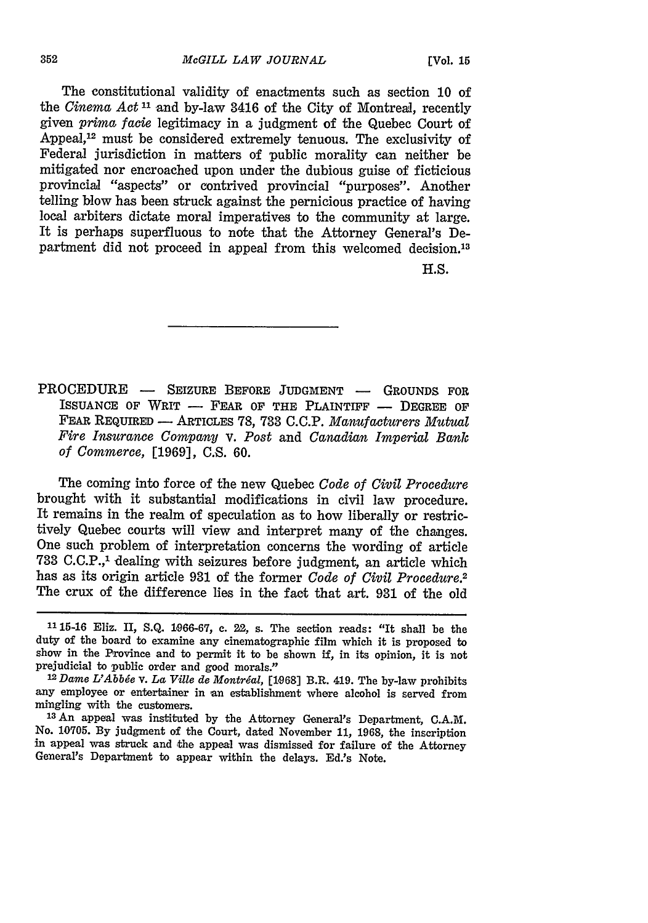The constitutional validity of enactments such as section 10 of the *Cinema Act 11* and by-law 3416 of the City of Montreal, recently given *prima facie* legitimacy in a judgment of the Quebec Court of Appeal,<sup>12</sup> must be considered extremely tenuous. The exclusivity of Federal jurisdiction in matters of public morality can neither be mitigated nor encroached upon under the dubious guise of ficticious provincial "aspects" or contrived provincial "purposes". Another telling blow has been struck against the pernicious practice of having local arbiters dictate moral imperatives to the community at large. It is perhaps superfluous to note that the Attorney General's Department did not proceed in appeal from this welcomed decision.<sup>13</sup>

**H.S.**

PROCEDURE - SEIZURE BEFORE JUDGMENT - GROUNDS FOR ISSUANCE OF WRIT - FEAR OF THE PLAINTIFF - DEGREE OF FEAR REQUIRED **-** ARTICLES **78, 733** C.C.P. *Manufacturers Mutual Fire Insurance Company* v. *Post* and *Canadian Imperial Bank of Commerce,* [1969], C.S. 60.

The coming into force of the new Quebec *Code of Civil Procedure* brought with it substantial modifications in civil law procedure. It remains in the realm of speculation as to how liberally or restrictively Quebec courts will view and interpret many of the changes. One such problem of interpretation concerns the wording of article **733** C.C.P., 1 dealing with seizures before judgment, an article which has as its origin article **931** of the former *Code of Civil Procedure.2* The crux of the difference lies in the fact that art. 931 of the old

**<sup>1115-16</sup>** Eliz. II, **S.Q.** 1066-67, c. 22, s. The section reads: "It shall be the duty of the board to examine any cinematographic film which it is proposed to show in the Province and to permit it to be shown if, in its opinion, it is not prejudicial to public order and good morals."

<sup>&</sup>lt;sup>12</sup> Dame L'Abbée v. La Ville de Montréal, [1968] B.R. 419. The by-law prohibits any employee or entertainer in an establishment where alcohol is served from mingling with the customers.

**<sup>13</sup>An** appeal was instituted by the Attorney General's Department, C.A.M. No. 10705. By judgment of the Court, dated November 11, **1968,** the inscription in appeal was struck and the appeal was dismissed for failure of the Attorney General's Department to appear within the delays. Ed.'s Note.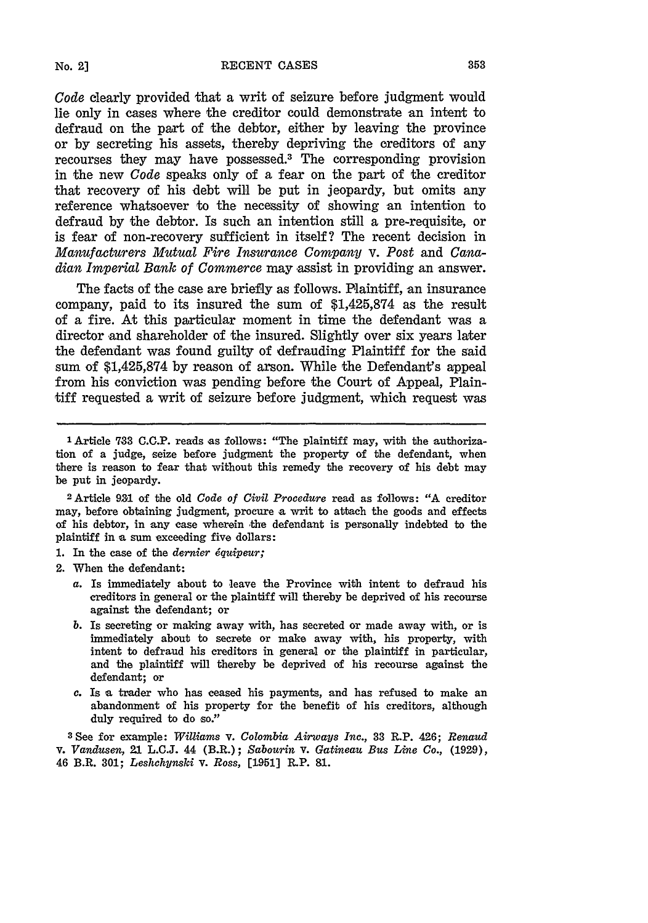*Code* clearly provided that a writ of seizure before judgment would lie only in cases where the creditor could demonstrate an intent to defraud on the part of the debtor, either by leaving the province or by secreting his assets, thereby depriving the creditors of any recourses they may have possessed.3 The corresponding provision in the new *Code* speaks only of a fear on the part of the creditor that recovery of his debt will be put in jeopardy, but omits any reference whatsoever to the necessity of showing an intention to defraud by the debtor. Is such an intention still a pre-requisite, or is fear of non-recovery sufficient in itself? The recent decision in *Manufacturers Mutual Fire Insurance Company* v. *Post* and *Canadian Imperial Bank of Commerce* may assist in providing an answer.

The facts of the case are briefly as follows. Plaintiff, an insurance company, paid to its insured the sum of \$1,425,874 as the result of a fire. At this particular moment in time the defendant was a director and shareholder of the insured. Slightly over six years later the defendant was found guilty of defrauding Plaintiff for the said sum of \$1,425,874 by reason of arson. While the Defendant's appeal from his conviction was pending before the Court of Appeal, Plaintiff requested a writ of seizure before judgment, which request was

<sup>2</sup> Article **931** of the old *Code of Civil Procedure* read as follows: "A creditor may, before obtaining judgment, procure a writ to attach the goods and effects of his debtor, in any case wherein the defendant is personally indebted to the plaintiff in a sum exceeding five dollars:

- **1.** In the case of the *dernier iquipeur;*
- 2. When the defendant:
	- a. Is immediately about to leave the Province with intent to defraud his creditors in general or the plaintiff will thereby be deprived of his recourse against the defendant; or
	- *b.* Is secreting or making away with, has secreted or made away with, or is immediately about to secrete or make away with, his property, with intent to defraud his creditors in general or the plaintiff in particular, and the plaintiff will thereby be deprived of his recourse against the defendant; or
	- *c.* Is **a** trader who has ceased his payments, and has refused to make an abandonment of his property for the benefit of his creditors, although duly required to do so."

**3 See** for example: *Williams* v. *Colombia Airways Inc.,* **33** R.P. 426; *Renaud* v. *Vandusen,* 21 L.C.J. 44 (B.R.); *Sabourin* **V.** *Gatineau Bus Line Co.,* (1929), 46 B.R. **301;** *Leshchynski v. Ross,* [1951] R.P. **91.**

**No. 2]**

**<sup>1</sup>** Article **733 C.C.P.** reads as follows: "The plaintiff may, with the authorization of a judge, seize before judgment the property of the defendant, when there is reason to fear that without this remedy the recovery of his debt may be put in jeopardy.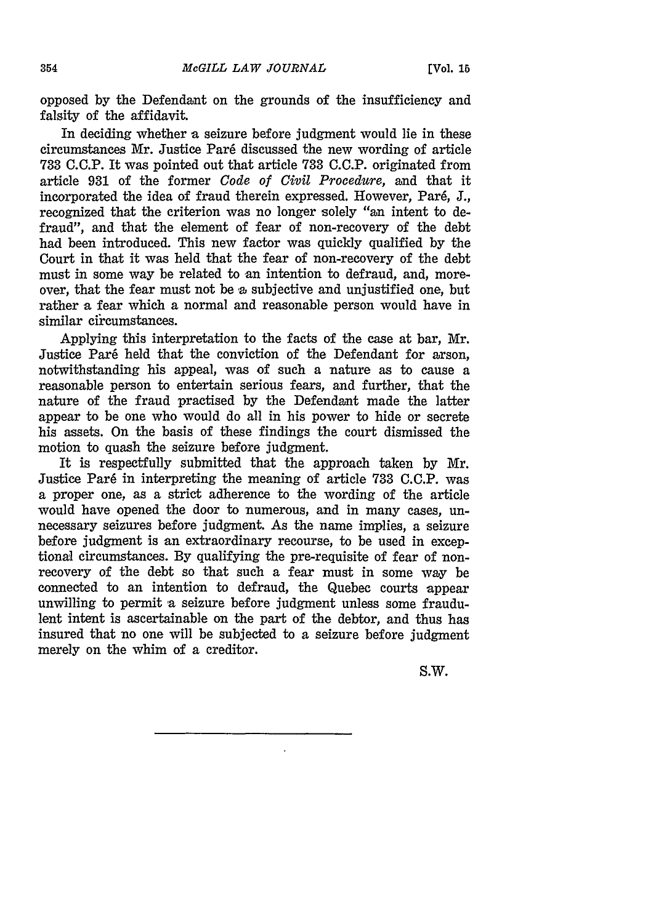opposed **by** the Defendant on the grounds of the insufficiency and falsity of the affidavit.

In deciding whether a seizure before judgment would lie in these circumstances Mr. Justice Par6 discussed the new wording of article **733 C.C.P.** It was pointed out that article **733 C.C.P.** originated from article **931** of the former *Code of Civil Procedure,* and that it incorporated the idea of fraud therein expressed. However, Pare, **J.,** recognized that the criterion was no longer solely "an intent to defraud", and that the element of fear of non-recovery of the debt had been introduced. This new factor was quickly qualified by the Court in that it was held that the fear of non-recovery of the debt must in some way be related to an intention to defraud, and, moreover, that the fear must not be a subjective and unjustified one, but rather a fear which a normal and reasonable person would have in similar circumstances.

Applying this interpretation to the facts of the case at bar, Mr. Justice Paré held that the conviction of the Defendant for arson, notwithstanding his appeal, was of such a nature as to cause a reasonable person to entertain serious fears, and further, that the nature of the fraud practised by the Defendant made the latter appear to be one who would do all in his power to hide or secrete his assets. On the basis of these findings the court dismissed the motion to quash the seizure before judgment.

It is respectfully submitted that the approach taken by Mr. Justice Par6 in interpreting the meaning of article 733 **C.C.P.** was a proper one, as a strict adherence to the wording of the article would have opened the door to numerous, and in many cases, unnecessary seizures before judgment. As the name implies, a seizure before judgment is an extraordinary recourse, to be used in exceptional circumstances. **By** qualifying the pre-requisite of fear of nonrecovery of the debt so that such a fear must in some way be connected to an intention to defraud, the Quebec courts appear unwilling to permit a seizure before judgment unless some fraudulent intent is ascertainable on the part of the debtor, and thus has insured that no one will be subjected to a seizure before judgment merely on the whim of a creditor.

S.W.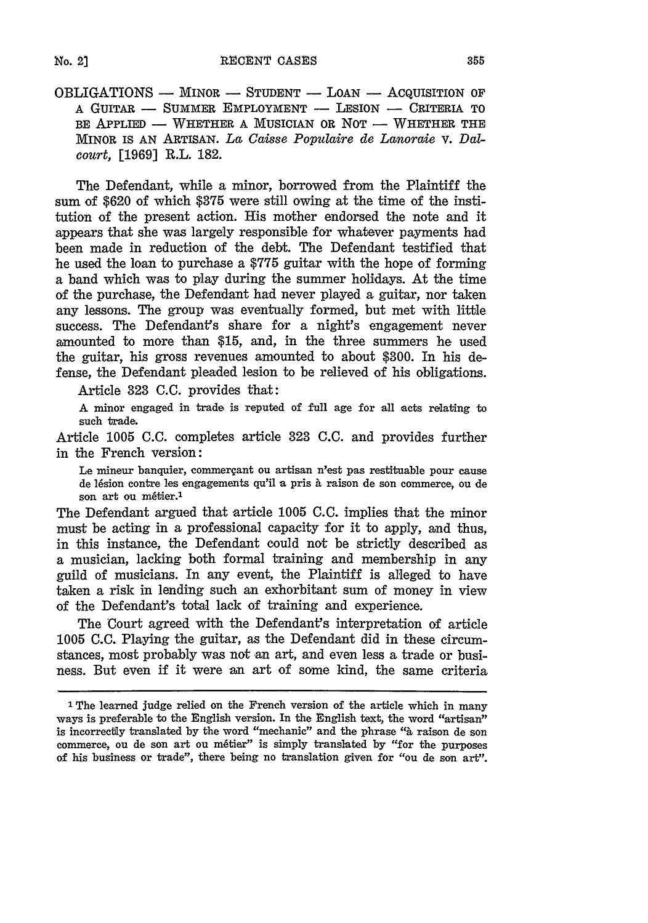OBLIGATIONS - MINOR **-** STUDENT **-** LOAN **-** ACQUISITION OF A GUITAR **-** SUMMER EMPLOYMENT - LESION **-** CRITERIA TO BE APPLIED **-** WHETHER A MUSICIAN OR NOT **-** WHETHER THE MINOR IS AN ARTISAN. *La Caisse Populaire de Lanoraie* v. *Dalcourt,* [1969] R.L. 182.

The Defendant, while a minor, borrowed from the Plaintiff the sum of \$620 of which \$375 were still owing at the time of the institution of the present action. His mother endorsed the note and it appears that she was largely responsible for whatever payments had been made in reduction of the debt. The Defendant testified that he used the loan to purchase a \$775 guitar with the hope of forming a band which was to play during the summer holidays. At the time of the purchase, the Defendant had never played a guitar, nor taken any lessons. The group was eventually formed, but met with little success. The Defendant's share for a night's engagement never amounted to more than \$15, and, in the three summers he used the guitar, his gross revenues amounted to about \$300. In his defense, the Defendant pleaded lesion to be relieved of his obligations.

Article 323 **C.C.** provides that:

A minor engaged in trade is reputed of full age for all acts relating to such trade.

Article 1005 **C.C.** completes article 323 **C.C.** and provides further in the French version:

Le mineur banquier, commergant **ou** artisan n'est pas restituable pour cause de lésion contre les engagements qu'il a pris à raison de son commerce, ou de son art ou métier.<sup>1</sup>

The Defendant argued that article 1005 C.C. *implies that the minor* must be acting in a professional capacity for it to apply, and thus, in this instance, the Defendant could not be strictly described as a musician, lacking both formal training and membership in any guild of musicians. In any event, the Plaintiff is alleged to have taken a risk in lending such an exhorbitant sum of money in view of the Defendant's total lack of training and experience.

The Court agreed with the Defendant's interpretation of article **1005 C.C.** Playing the guitar, as the Defendant did in these circumstances, most probably was not an art, and even less a trade or business. But even if it were an art of some kind, the same criteria

 $No. 21$ 

**I The** learned judge relied on the French version of the article which in many ways is preferable to the English version. In the English text, the word "artisan" is incorrectly translated by the word "mechanic" and the phrase "a raison de son commerce, ou de son art ou métier" is simply translated by "for the purposes of his business or trade", there being no translation given for "ou de son art".